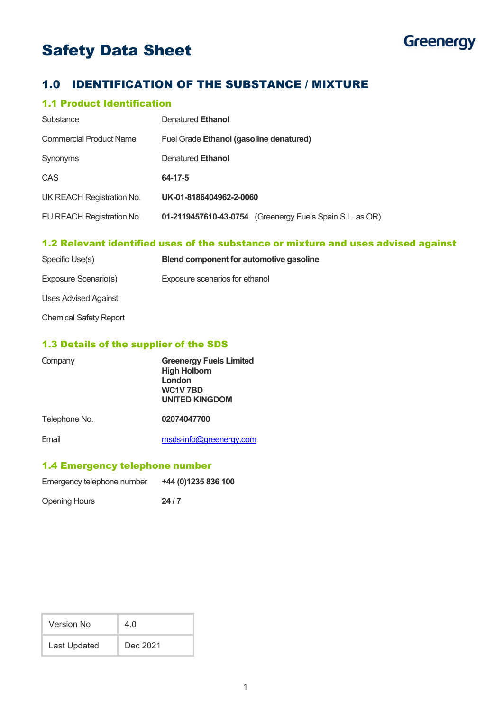# Safety Data Sheet



# 1.0 IDENTIFICATION OF THE SUBSTANCE / MIXTURE

## 1.1 Product Identification

| Substance                      | Denatured Ethanol                                        |  |
|--------------------------------|----------------------------------------------------------|--|
| <b>Commercial Product Name</b> | Fuel Grade Ethanol (gasoline denatured)                  |  |
| Synonyms                       | Denatured Ethanol                                        |  |
| CAS                            | 64-17-5                                                  |  |
| UK REACH Registration No.      | UK-01-8186404962-2-0060                                  |  |
| EU REACH Registration No.      | 01-2119457610-43-0754 (Greenergy Fuels Spain S.L. as OR) |  |

## 1.2 Relevant identified uses of the substance or mixture and uses advised against

| Specific Use(s)               | Blend component for automotive gasoline |
|-------------------------------|-----------------------------------------|
| Exposure Scenario(s)          | Exposure scenarios for ethanol          |
| Uses Advised Against          |                                         |
| <b>Chemical Safety Report</b> |                                         |

#### 1.3 Details of the supplier of the SDS

| Company       | <b>Greenergy Fuels Limited</b><br><b>High Holborn</b><br>London<br>WC1V7BD<br><b>UNITED KINGDOM</b> |  |
|---------------|-----------------------------------------------------------------------------------------------------|--|
| Telephone No. | 02074047700                                                                                         |  |
| Email         | msds-info@greenergy.com                                                                             |  |

## 1.4 Emergency telephone number

| Emergency telephone number | +44 (0) 1235 836 100 |
|----------------------------|----------------------|
| <b>Opening Hours</b>       | 24/7                 |

| Version No   | 4.0      |
|--------------|----------|
| Last Updated | Dec 2021 |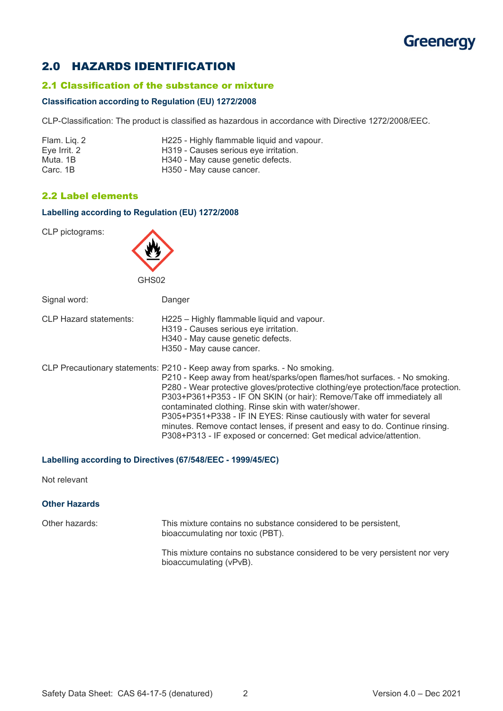# **Greenergy**

# 2.0 HAZARDS IDENTIFICATION

#### 2.1 Classification of the substance or mixture

#### **Classification according to Regulation (EU) 1272/2008**

CLP-Classification: The product is classified as hazardous in accordance with Directive 1272/2008/EEC.

| Flam. Liq. 2 | H225 - Highly flammable liquid and vapour. |
|--------------|--------------------------------------------|
| Eye Irrit. 2 | H319 - Causes serious eye irritation.      |
| Muta. 1B     | H340 - May cause genetic defects.          |
| Carc, 1B     | H350 - May cause cancer.                   |

## 2.2 Label elements

#### **Labelling according to Regulation (EU) 1272/2008**

CLP pictograms:



Signal word: Danger

| <b>CLP Hazard statements:</b> | H225 - Highly flammable liquid and vapour. |
|-------------------------------|--------------------------------------------|
|                               |                                            |

H319 - Causes serious eye irritation.

H340 - May cause genetic defects.

H350 - May cause cancer.

CLP Precautionary statements: P210 - Keep away from sparks. - No smoking.

P210 - Keep away from heat/sparks/open flames/hot surfaces. - No smoking. P280 - Wear protective gloves/protective clothing/eye protection/face protection. P303+P361+P353 - IF ON SKIN (or hair): Remove/Take off immediately all contaminated clothing. Rinse skin with water/shower. P305+P351+P338 - IF IN EYES: Rinse cautiously with water for several minutes. Remove contact lenses, if present and easy to do. Continue rinsing. P308+P313 - IF exposed or concerned: Get medical advice/attention.

#### **Labelling according to Directives (67/548/EEC - 1999/45/EC)**

Not relevant

## **Other Hazards**

Other hazards: This mixture contains no substance considered to be persistent, bioaccumulating nor toxic (PBT).

> This mixture contains no substance considered to be very persistent nor very bioaccumulating (vPvB).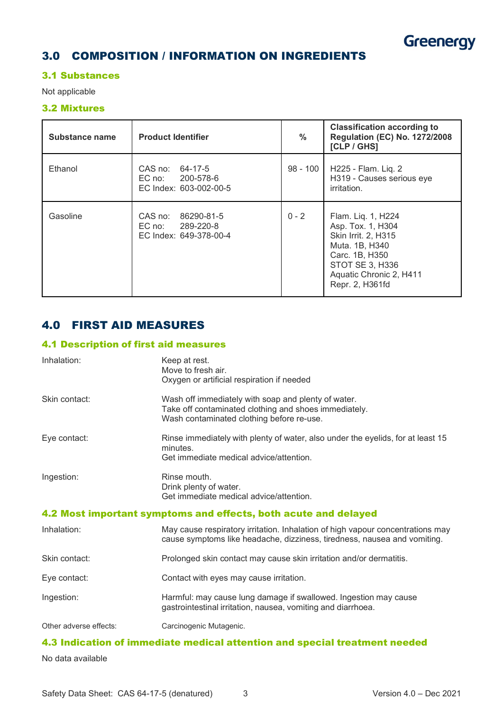

# 3.0 COMPOSITION / INFORMATION ON INGREDIENTS

### 3.1 Substances

Not applicable

## 3.2 Mixtures

| Substance name | <b>Product Identifier</b>                                           | $\frac{0}{0}$ | <b>Classification according to</b><br><b>Regulation (EC) No. 1272/2008</b><br>[CLP/GHS]                                                                                    |
|----------------|---------------------------------------------------------------------|---------------|----------------------------------------------------------------------------------------------------------------------------------------------------------------------------|
| Ethanol        | CAS no: 64-17-5<br>EC no: 200-578-6<br>EC Index: 603-002-00-5       | 98 - 100      | H225 - Flam. Lig. 2<br>H319 - Causes serious eye<br>irritation.                                                                                                            |
| Gasoline       | CAS no:<br>86290-81-5<br>EC no: 289-220-8<br>EC Index: 649-378-00-4 | $0 - 2$       | Flam. Liq. 1, H224<br>Asp. Tox. 1, H304<br><b>Skin Irrit. 2, H315</b><br>Muta. 1B, H340<br>Carc. 1B, H350<br>STOT SE 3, H336<br>Aquatic Chronic 2, H411<br>Repr. 2, H361fd |

# 4.0 FIRST AID MEASURES

#### 4.1 Description of first aid measures

| Inhalation:                                                     | Keep at rest.<br>Move to fresh air.<br>Oxygen or artificial respiration if needed                                                                          |  |
|-----------------------------------------------------------------|------------------------------------------------------------------------------------------------------------------------------------------------------------|--|
| Skin contact:                                                   | Wash off immediately with soap and plenty of water.<br>Take off contaminated clothing and shoes immediately.<br>Wash contaminated clothing before re-use.  |  |
| Eye contact:                                                    | Rinse immediately with plenty of water, also under the eyelids, for at least 15<br>minutes.<br>Get immediate medical advice/attention.                     |  |
| Ingestion:                                                      | Rinse mouth.<br>Drink plenty of water.<br>Get immediate medical advice/attention.                                                                          |  |
| 4.2 Most important symptoms and effects, both acute and delayed |                                                                                                                                                            |  |
| Inhalation:                                                     | May cause respiratory irritation. Inhalation of high vapour concentrations may<br>cause symptoms like headache, dizziness, tiredness, nausea and vomiting. |  |
| Skin contact:                                                   | Prolonged skin contact may cause skin irritation and/or dermatitis.                                                                                        |  |
| Eye contact:                                                    | Contact with eyes may cause irritation.                                                                                                                    |  |
| Ingestion:                                                      | Harmful: may cause lung damage if swallowed. Ingestion may cause<br>gastrointestinal irritation, nausea, vomiting and diarrhoea.                           |  |
| Other adverse effects:                                          | Carcinogenic Mutagenic.                                                                                                                                    |  |

# 4.3 Indication of immediate medical attention and special treatment needed

No data available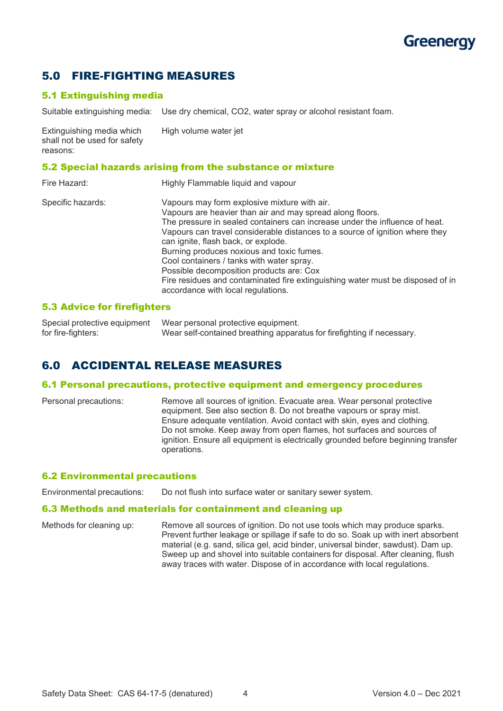# Greenerav

# 5.0 FIRE-FIGHTING MEASURES

## 5.1 Extinguishing media

Suitable extinguishing media: Use dry chemical, CO2, water spray or alcohol resistant foam.

Extinguishing media which High volume water jet shall not be used for safety reasons:

#### 5.2 Special hazards arising from the substance or mixture

| Fire Hazard:      | Highly Flammable liquid and vapour                                                                                                                                                                                                                                                                                                                                                                                                                                                                                                                                            |
|-------------------|-------------------------------------------------------------------------------------------------------------------------------------------------------------------------------------------------------------------------------------------------------------------------------------------------------------------------------------------------------------------------------------------------------------------------------------------------------------------------------------------------------------------------------------------------------------------------------|
| Specific hazards: | Vapours may form explosive mixture with air.<br>Vapours are heavier than air and may spread along floors.<br>The pressure in sealed containers can increase under the influence of heat.<br>Vapours can travel considerable distances to a source of ignition where they<br>can ignite, flash back, or explode.<br>Burning produces noxious and toxic fumes.<br>Cool containers / tanks with water spray.<br>Possible decomposition products are: Cox<br>Fire residues and contaminated fire extinguishing water must be disposed of in<br>accordance with local regulations. |

#### 5.3 Advice for firefighters

Special protective equipment Wear personal protective equipment.<br>for fire-fighters: Wear self-contained breathing appara Wear self-contained breathing apparatus for firefighting if necessary.

# 6.0 ACCIDENTAL RELEASE MEASURES

#### 6.1 Personal precautions, protective equipment and emergency procedures

Personal precautions: Remove all sources of ignition. Evacuate area. Wear personal protective equipment. See also section 8. Do not breathe vapours or spray mist. Ensure adequate ventilation. Avoid contact with skin, eyes and clothing. Do not smoke. Keep away from open flames, hot surfaces and sources of ignition. Ensure all equipment is electrically grounded before beginning transfer operations.

#### 6.2 Environmental precautions

Environmental precautions: Do not flush into surface water or sanitary sewer system.

#### 6.3 Methods and materials for containment and cleaning up

Methods for cleaning up: Remove all sources of ignition. Do not use tools which may produce sparks. Prevent further leakage or spillage if safe to do so. Soak up with inert absorbent material (e.g. sand, silica gel, acid binder, universal binder, sawdust). Dam up. Sweep up and shovel into suitable containers for disposal. After cleaning, flush away traces with water. Dispose of in accordance with local regulations.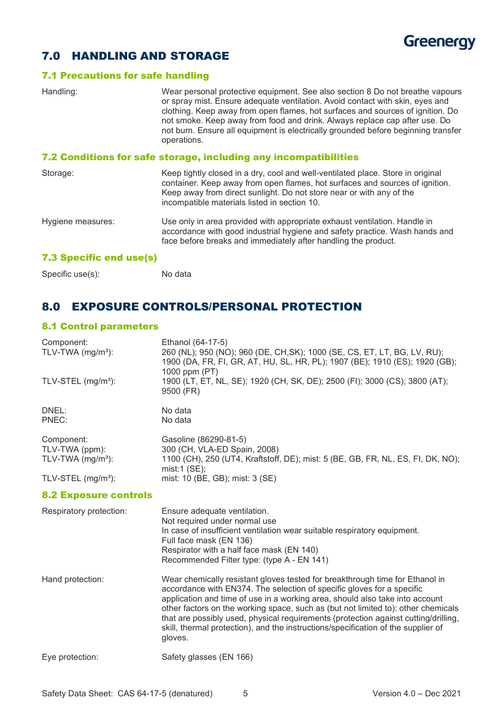

# 7.0 HANDLING AND STORAGE

#### 7.1 Precautions for safe handling

| Handling:                                                        | Wear personal protective equipment. See also section 8 Do not breathe vapours<br>or spray mist. Ensure adequate ventilation. Avoid contact with skin, eyes and<br>clothing. Keep away from open flames, hot surfaces and sources of ignition. Do<br>not smoke. Keep away from food and drink. Always replace cap after use. Do<br>not burn. Ensure all equipment is electrically grounded before beginning transfer<br>operations. |  |
|------------------------------------------------------------------|------------------------------------------------------------------------------------------------------------------------------------------------------------------------------------------------------------------------------------------------------------------------------------------------------------------------------------------------------------------------------------------------------------------------------------|--|
| 7.2 Conditions for safe storage, including any incompatibilities |                                                                                                                                                                                                                                                                                                                                                                                                                                    |  |
| Storage:                                                         | Keep tightly closed in a dry, cool and well-ventilated place. Store in original<br>container. Keep away from open flames, hot surfaces and sources of ignition.<br>Keep away from direct sunlight. Do not store near or with any of the<br>incompatible materials listed in section 10.                                                                                                                                            |  |
| Hygiene measures:                                                | Use only in area provided with appropriate exhaust ventilation. Handle in<br>accordance with good industrial hygiene and safety practice. Wash hands and<br>face before breaks and immediately after handling the product.                                                                                                                                                                                                         |  |
| <b>7.3 Specific end use(s)</b>                                   |                                                                                                                                                                                                                                                                                                                                                                                                                                    |  |

Specific use(s): No data

# 8.0 EXPOSURE CONTROLS/PERSONAL PROTECTION

## 8.1 Control parameters

| Component:<br>TLV-TWA (mg/m <sup>3</sup> ):         | Ethanol (64-17-5)<br>260 (NL); 950 (NO); 960 (DE, CH, SK); 1000 (SE, CS, ET, LT, BG, LV, RU);<br>1900 (DA, FR, FI, GR, AT, HU, SL, HR, PL); 1907 (BE); 1910 (ES); 1920 (GB);<br>1000 ppm (PT) |
|-----------------------------------------------------|-----------------------------------------------------------------------------------------------------------------------------------------------------------------------------------------------|
| TLV-STEL (mg/m <sup>3</sup> ):                      | 1900 (LT, ET, NL, SE); 1920 (CH, SK, DE); 2500 (FI); 3000 (CS); 3800 (AT);<br>9500 (FR)                                                                                                       |
| DNEL:<br>PNEC:                                      | No data<br>No data                                                                                                                                                                            |
| Component:<br>TLV-TWA (ppm):<br>TLV-TWA $(mg/m3)$ : | Gasoline (86290-81-5)<br>300 (CH, VLA-ED Spain, 2008)<br>1100 (CH), 250 (UT4, Kraftstoff, DE); mist: 5 (BE, GB, FR, NL, ES, FI, DK, NO);<br>mist:1 $(SE)$ ;                                   |
| TLV-STEL $(mg/m3)$ :                                | mist: 10 (BE, GB); mist: 3 (SE)                                                                                                                                                               |

#### 8.2 Exposure controls

| Respiratory protection: | Ensure adequate ventilation.<br>Not required under normal use<br>In case of insufficient ventilation wear suitable respiratory equipment.<br>Full face mask (EN 136)<br>Respirator with a half face mask (EN 140)<br>Recommended Filter type: (type A - EN 141)                                                                                                                                                                                                                                                    |
|-------------------------|--------------------------------------------------------------------------------------------------------------------------------------------------------------------------------------------------------------------------------------------------------------------------------------------------------------------------------------------------------------------------------------------------------------------------------------------------------------------------------------------------------------------|
| Hand protection:        | Wear chemically resistant gloves tested for breakthrough time for Ethanol in<br>accordance with EN374. The selection of specific gloves for a specific<br>application and time of use in a working area, should also take into account<br>other factors on the working space, such as (but not limited to): other chemicals<br>that are possibly used, physical requirements (protection against cutting/drilling,<br>skill, thermal protection), and the instructions/specification of the supplier of<br>gloves. |
| Eye protection:         | Safety glasses (EN 166)                                                                                                                                                                                                                                                                                                                                                                                                                                                                                            |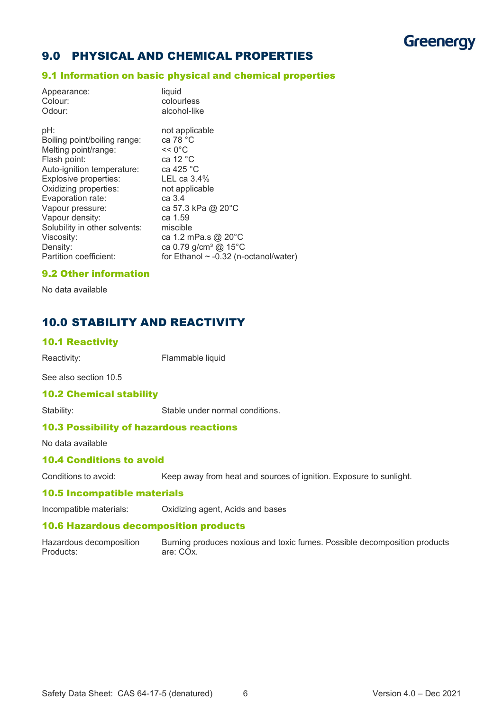# **Greenergy**

# 9.0 PHYSICAL AND CHEMICAL PROPERTIES

#### 9.1 Information on basic physical and chemical properties

| pH:<br>not applicable<br>ca 78 °C<br>Boiling point/boiling range:<br><< 0°C<br>Melting point/range:<br>ca 12 $°C$<br>Flash point:<br>ca 425 °C<br>Auto-ignition temperature:<br>Explosive properties:<br>LEL ca $3.4\%$<br>Oxidizing properties:<br>not applicable<br>Evaporation rate:<br>ca 3.4<br>ca 57.3 kPa @ 20°C<br>Vapour pressure:<br>Vapour density:<br>ca 1.59<br>Solubility in other solvents:<br>miscible<br>ca 1.2 mPa.s @ 20°C<br>Viscosity:<br>ca 0.79 g/cm <sup>3</sup> @ 15°C<br>Density:<br>Partition coefficient:<br>for Ethanol $\sim$ -0.32 (n-octanol/water) | Appearance:<br>Colour:<br>Odour: | liquid<br>colourless<br>alcohol-like |
|-------------------------------------------------------------------------------------------------------------------------------------------------------------------------------------------------------------------------------------------------------------------------------------------------------------------------------------------------------------------------------------------------------------------------------------------------------------------------------------------------------------------------------------------------------------------------------------|----------------------------------|--------------------------------------|
|                                                                                                                                                                                                                                                                                                                                                                                                                                                                                                                                                                                     |                                  |                                      |

#### 9.2 Other information

No data available

# 10.0 STABILITY AND REACTIVITY

#### 10.1 Reactivity

Reactivity: Flammable liquid

See also section 10.5

#### 10.2 Chemical stability

Stability: Stable under normal conditions.

## 10.3 Possibility of hazardous reactions

No data available

## 10.4 Conditions to avoid

Conditions to avoid: Keep away from heat and sources of ignition. Exposure to sunlight.

#### 10.5 Incompatible materials

Incompatible materials: Oxidizing agent, Acids and bases

#### 10.6 Hazardous decomposition products

Hazardous decomposition Burning produces noxious and toxic fumes. Possible decomposition products<br>Products:<br>Products: are: CO<sub>x</sub>.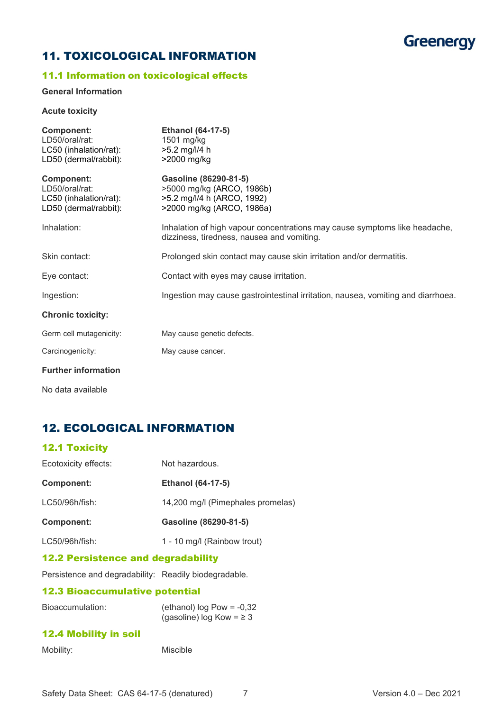

# 11. TOXICOLOGICAL INFORMATION

## 11.1 Information on toxicological effects

#### **General Information**

#### **Acute toxicity**

| <b>Component:</b><br>LD50/oral/rat:<br>LC50 (inhalation/rat):<br>LD50 (dermal/rabbit): | <b>Ethanol (64-17-5)</b><br>1501 mg/kg<br>$>5.2$ mg/l/4 h<br>>2000 mg/kg                                                 |
|----------------------------------------------------------------------------------------|--------------------------------------------------------------------------------------------------------------------------|
| <b>Component:</b><br>LD50/oral/rat:<br>LC50 (inhalation/rat):<br>LD50 (dermal/rabbit): | Gasoline (86290-81-5)<br>>5000 mg/kg (ARCO, 1986b)<br>>5.2 mg/l/4 h (ARCO, 1992)<br>>2000 mg/kg (ARCO, 1986a)            |
| Inhalation:                                                                            | Inhalation of high vapour concentrations may cause symptoms like headache,<br>dizziness, tiredness, nausea and vomiting. |
| Skin contact:                                                                          | Prolonged skin contact may cause skin irritation and/or dermatitis.                                                      |
| Eye contact:                                                                           | Contact with eyes may cause irritation.                                                                                  |
| Ingestion:                                                                             | Ingestion may cause gastrointestinal irritation, nausea, vomiting and diarrhoea.                                         |
| <b>Chronic toxicity:</b>                                                               |                                                                                                                          |
| Germ cell mutagenicity:                                                                | May cause genetic defects.                                                                                               |
| Carcinogenicity:                                                                       | May cause cancer.                                                                                                        |
| <b>Further information</b>                                                             |                                                                                                                          |

No data available

# 12. ECOLOGICAL INFORMATION

## 12.1 Toxicity

| Ecotoxicity effects: | Not hazardous.                    |
|----------------------|-----------------------------------|
| <b>Component:</b>    | <b>Ethanol (64-17-5)</b>          |
| LC50/96h/fish:       | 14,200 mg/l (Pimephales promelas) |
| Component:           | Gasoline (86290-81-5)             |
| LC50/96h/fish:       | 1 - 10 mg/l (Rainbow trout)       |

#### 12.2 Persistence and degradability

Persistence and degradability: Readily biodegradable.

## 12.3 Bioaccumulative potential

| Bioaccumulation: | (ethanol) $log Pow = -0,32$   |
|------------------|-------------------------------|
|                  | (gasoline) log Kow = $\geq$ 3 |

## 12.4 Mobility in soil

| Mobility:<br>Miscible |
|-----------------------|
|-----------------------|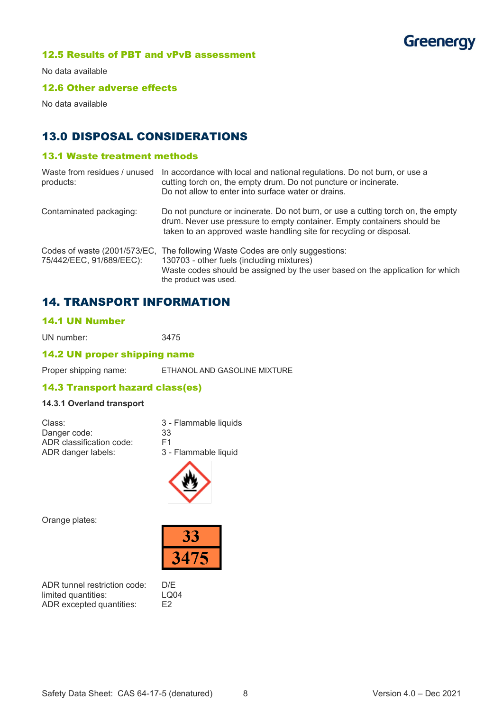

#### 12.5 Results of PBT and vPvB assessment

No data available

## 12.6 Other adverse effects

No data available

# 13.0 DISPOSAL CONSIDERATIONS

## 13.1 Waste treatment methods

| Waste from residues / unused<br>products: | In accordance with local and national regulations. Do not burn, or use a<br>cutting torch on, the empty drum. Do not puncture or incinerate.<br>Do not allow to enter into surface water or drains.                                 |
|-------------------------------------------|-------------------------------------------------------------------------------------------------------------------------------------------------------------------------------------------------------------------------------------|
| Contaminated packaging:                   | Do not puncture or incinerate. Do not burn, or use a cutting torch on, the empty<br>drum. Never use pressure to empty container. Empty containers should be<br>taken to an approved waste handling site for recycling or disposal.  |
| 75/442/EEC, 91/689/EEC):                  | Codes of waste (2001/573/EC, The following Waste Codes are only suggestions:<br>130703 - other fuels (including mixtures)<br>Waste codes should be assigned by the user based on the application for which<br>the product was used. |

# 14. TRANSPORT INFORMATION

## 14.1 UN Number

UN number: 3475

## 14.2 UN proper shipping name

Proper shipping name: ETHANOL AND GASOLINE MIXTURE

## 14.3 Transport hazard class(es)

## **14.3.1 Overland transport**

| Class:                   | 3 - Flammable liquids |
|--------------------------|-----------------------|
| Danger code:             | 33                    |
| ADR classification code: | F <sub>1</sub>        |
| ADR danger labels:       | 3 - Flammable liquid  |



Orange plates:



ADR tunnel restriction code: D/E limited quantities: LQ04<br>ADR excepted quantities: E2 ADR excepted quantities: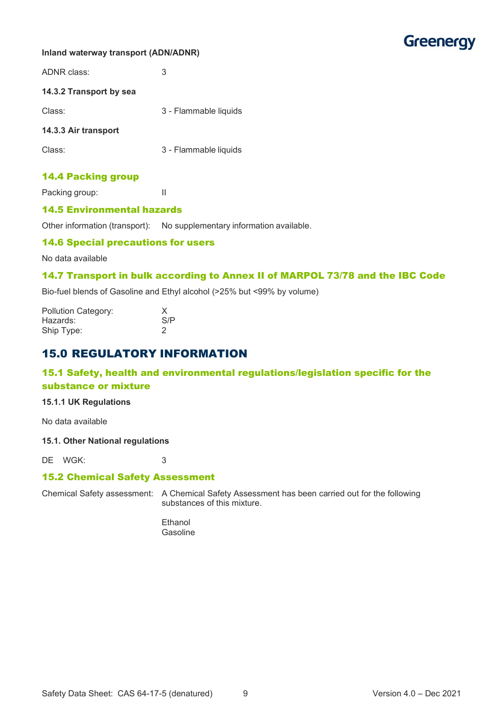

#### **Inland waterway transport (ADN/ADNR)**

| ADNR class:             | 3                     |
|-------------------------|-----------------------|
| 14.3.2 Transport by sea |                       |
| Class:                  | 3 - Flammable liquids |
| 14.3.3 Air transport    |                       |
| Class:                  | 3 - Flammable liquids |
|                         |                       |

## 14.4 Packing group

Packing group: II

#### 14.5 Environmental hazards

Other information (transport): No supplementary information available.

#### 14.6 Special precautions for users

No data available

#### 14.7 Transport in bulk according to Annex II of MARPOL 73/78 and the IBC Code

Bio-fuel blends of Gasoline and Ethyl alcohol (>25% but <99% by volume)

| <b>Pollution Category:</b> |     |
|----------------------------|-----|
| Hazards:                   | S/P |
| Ship Type:                 | 2   |

# 15.0 REGULATORY INFORMATION

## 15.1 Safety, health and environmental regulations/legislation specific for the substance or mixture

#### **15.1.1 UK Regulations**

No data available

#### **15.1. Other National regulations**

DE WGK: 3

#### 15.2 Chemical Safety Assessment

Chemical Safety assessment: A Chemical Safety Assessment has been carried out for the following substances of this mixture.

> Ethanol Gasoline